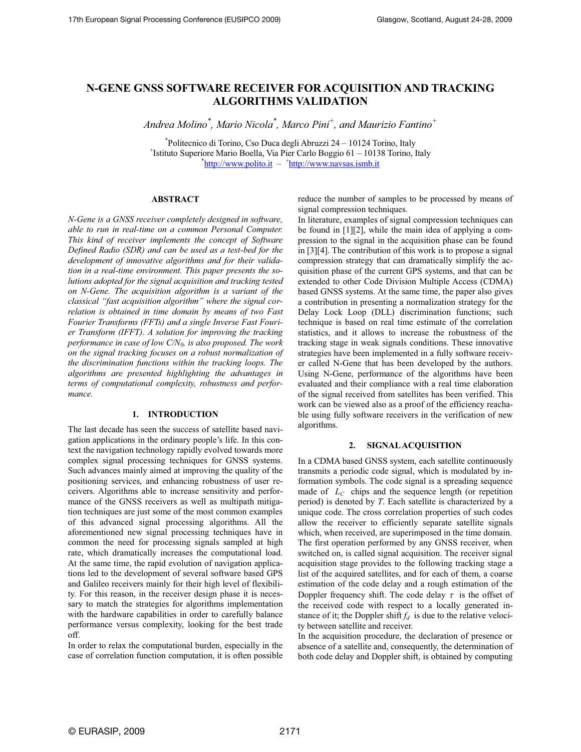# **N-GENE GNSS SOFTWARE RECEIVER FOR ACQUISITION AND TRACKING ALGORITHMS VALIDATION**

*Andrea Molino\* , Mario Nicola\* , Marco Pini<sup>+</sup> , and Maurizio Fantino<sup>+</sup>*

\* Politecnico di Torino, Cso Duca degli Abruzzi 24 – 10124 Torino, Italy + Istituto Superiore Mario Boella, Via Pier Carlo Boggio 61 – 10138 Torino, Italy \*http://www.polito.it – <sup>+</sup>http://www.navsas.ismb.it

## **ABSTRACT**

*N-Gene is a GNSS receiver completely designed in software, able to run in real-time on a common Personal Computer. This kind of receiver implements the concept of Software Defined Radio (SDR) and can be used as a test-bed for the development of innovative algorithms and for their validation in a real-time environment. This paper presents the solutions adopted for the signal acquisition and tracking tested on N-Gene. The acquisition algorithm is a variant of the classical "fast acquisition algorithm" where the signal correlation is obtained in time domain by means of two Fast Fourier Transforms (FFTs) and a single Inverse Fast Fourier Transform (IFFT). A solution for improving the tracking performance in case of low C/N0, is also proposed. The work on the signal tracking focuses on a robust normalization of the discrimination functions within the tracking loops. The algorithms are presented highlighting the advantages in terms of computational complexity, robustness and performance.*

# **1. INTRODUCTION**

The last decade has seen the success of satellite based navigation applications in the ordinary people's life. In this context the navigation technology rapidly evolved towards more complex signal processing techniques for GNSS systems. Such advances mainly aimed at improving the quality of the positioning services, and enhancing robustness of user receivers. Algorithms able to increase sensitivity and performance of the GNSS receivers as well as multipath mitigation techniques are just some of the most common examples of this advanced signal processing algorithms. All the aforementioned new signal processing techniques have in common the need for processing signals sampled at high rate, which dramatically increases the computational load. At the same time, the rapid evolution of navigation applications led to the development of several software based GPS and Galileo receivers mainly for their high level of flexibility. For this reason, in the receiver design phase it is necessary to match the strategies for algorithms implementation with the hardware capabilities in order to carefully balance performance versus complexity, looking for the best trade off.

In order to relax the computational burden, especially in the case of correlation function computation, it is often possible reduce the number of samples to be processed by means of signal compression techniques.

In literature, examples of signal compression techniques can be found in [1][2], while the main idea of applying a compression to the signal in the acquisition phase can be found in [3][4]. The contribution of this work is to propose a signal compression strategy that can dramatically simplify the acquisition phase of the current GPS systems, and that can be extended to other Code Division Multiple Access (CDMA) based GNSS systems. At the same time, the paper also gives a contribution in presenting a normalization strategy for the Delay Lock Loop (DLL) discrimination functions; such technique is based on real time estimate of the correlation statistics, and it allows to increase the robustness of the tracking stage in weak signals conditions. These innovative strategies have been implemented in a fully software receiver called N-Gene that has been developed by the authors. Using N-Gene, performance of the algorithms have been evaluated and their compliance with a real time elaboration of the signal received from satellites has been verified. This work can be viewed also as a proof of the efficiency reachable using fully software receivers in the verification of new algorithms.

#### **2. SIGNAL ACQUISITION**

In a CDMA based GNSS system, each satellite continuously transmits a periodic code signal, which is modulated by information symbols. The code signal is a spreading sequence made of *LC* chips and the sequence length (or repetition period) is denoted by *T*. Each satellite is characterized by a unique code. The cross correlation properties of such codes allow the receiver to efficiently separate satellite signals which, when received, are superimposed in the time domain. The first operation performed by any GNSS receiver, when switched on, is called signal acquisition. The receiver signal acquisition stage provides to the following tracking stage a list of the acquired satellites, and for each of them, a coarse estimation of the code delay and a rough estimation of the Doppler frequency shift. The code delay  $\tau$  is the offset of the received code with respect to a locally generated instance of it; the Doppler shift  $f_d$  is due to the relative velocity between satellite and receiver.

In the acquisition procedure, the declaration of presence or absence of a satellite and, consequently, the determination of both code delay and Doppler shift, is obtained by computing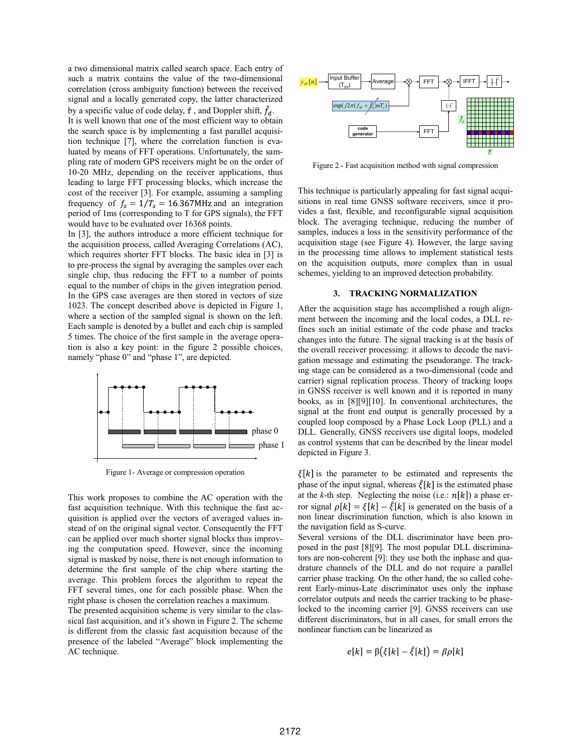a two dimensional matrix called search space. Each entry of such a matrix contains the value of the two-dimensional correlation (cross ambiguity function) between the received signal and a locally generated copy, the latter characterized by a specific value of code delay,  $\hat{\tau}$ , and Doppler shift,  $\hat{f}_d$ . It is well known that one of the most efficient way to obtain the search space is by implementing a fast parallel acquisition technique [7], where the correlation function is evaluated by means of FFT operations. Unfortunately, the sampling rate of modern GPS receivers might be on the order of 10-20 MHz, depending on the receiver applications, thus leading to large FFT processing blocks, which increase the cost of the receiver [3]. For example, assuming a sampling frequency of  $f_s = 1/T_s = 16.367$ MHz and an integration period of 1ms (corresponding to T for GPS signals), the FFT would have to be evaluated over 16368 points.

In [3], the authors introduce a more efficient technique for the acquisition process, called Averaging Correlations (AC), which requires shorter FFT blocks. The basic idea in [3] is to pre-process the signal by averaging the samples over each single chip, thus reducing the FFT to a number of points equal to the number of chips in the given integration period. In the GPS case averages are then stored in vectors of size 1023. The concept described above is depicted in Figure 1, where a section of the sampled signal is shown on the left. Each sample is denoted by a bullet and each chip is sampled 5 times. The choice of the first sample in the average operation is also a key point: in the figure 2 possible choices, namely "phase 0" and "phase 1", are depicted.



Figure 1- Average or compression operation

This work proposes to combine the AC operation with the fast acquisition technique. With this technique the fast acquisition is applied over the vectors of averaged values instead of on the original signal vector. Consequently the FFT can be applied over much shorter signal blocks thus improving the computation speed. However, since the incoming signal is masked by noise, there is not enough information to determine the first sample of the chip where starting the average. This problem forces the algorithm to repeat the FFT several times, one for each possible phase. When the right phase is chosen the correlation reaches a maximum.

The presented acquisition scheme is very similar to the classical fast acquisition, and it's shown in Figure 2. The scheme is different from the classic fast acquisition because of the presence of the labeled "Average" block implementing the AC technique.



Figure 2 - Fast acquisition method with signal compression

This technique is particularly appealing for fast signal acquisitions in real time GNSS software receivers, since it provides a fast, flexible, and reconfigurable signal acquisition block. The averaging technique, reducing the number of samples, induces a loss in the sensitivity performance of the acquisition stage (see Figure 4). However, the large saving in the processing time allows to implement statistical tests on the acquisition outputs, more complex than in usual schemes, yielding to an improved detection probability.

## **3. TRACKING NORMALIZATION**

After the acquisition stage has accomplished a rough alignment between the incoming and the local codes, a DLL refines such an initial estimate of the code phase and tracks changes into the future. The signal tracking is at the basis of the overall receiver processing: it allows to decode the navigation message and estimating the pseudorange. The tracking stage can be considered as a two-dimensional (code and carrier) signal replication process. Theory of tracking loops in GNSS receiver is well known and it is reported in many books, as in [8][9][10]. In conventional architectures, the signal at the front end output is generally processed by a coupled loop composed by a Phase Lock Loop (PLL) and a DLL. Generally, GNSS receivers use digital loops, modeled as control systems that can be described by the linear model depicted in Figure 3.

 $\xi[k]$  is the parameter to be estimated and represents the phase of the input signal, whereas  $\hat{\xi}[k]$  is the estimated phase at the *k*-th step. Neglecting the noise (i.e.:  $n[k]$ ) a phase error signal  $\rho[k] = \xi[k] - \hat{\xi}[k]$  is generated on the basis of a non linear discrimination function, which is also known in the navigation field as S-curve.

Several versions of the DLL discriminator have been proposed in the past [8][9]. The most popular DLL discriminators are non-coherent [9]: they use both the inphase and quadrature channels of the DLL and do not require a parallel carrier phase tracking. On the other hand, the so called coherent Early-minus-Late discriminator uses only the inphase correlator outputs and needs the carrier tracking to be phaselocked to the incoming carrier [9]. GNSS receivers can use different discriminators, but in all cases, for small errors the nonlinear function can be linearized as

$$
e[k] = \beta(\xi[k] - \xi[k]) = \beta \rho[k]
$$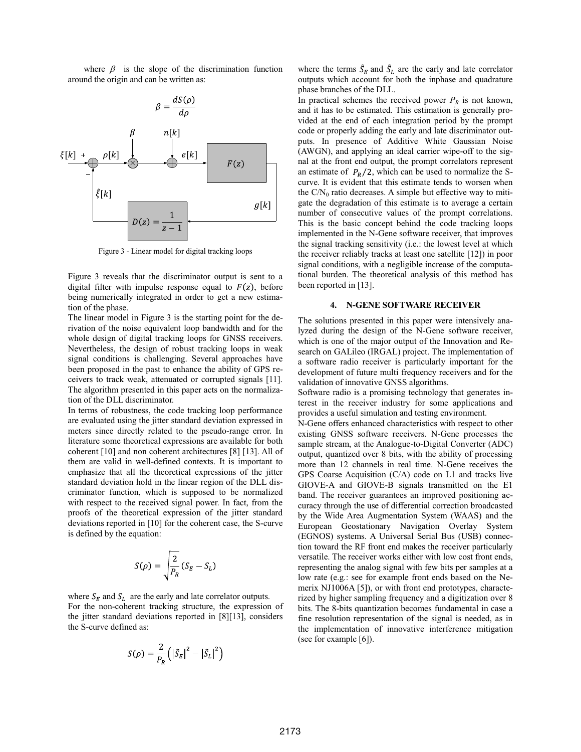where  $\beta$  is the slope of the discrimination function around the origin and can be written as:



Figure 3 - Linear model for digital tracking loops

Figure 3 reveals that the discriminator output is sent to a digital filter with impulse response equal to  $F(z)$ , before being numerically integrated in order to get a new estimation of the phase.

The linear model in Figure 3 is the starting point for the derivation of the noise equivalent loop bandwidth and for the whole design of digital tracking loops for GNSS receivers. Nevertheless, the design of robust tracking loops in weak signal conditions is challenging. Several approaches have been proposed in the past to enhance the ability of GPS receivers to track weak, attenuated or corrupted signals [11]. The algorithm presented in this paper acts on the normalization of the DLL discriminator.

In terms of robustness, the code tracking loop performance are evaluated using the jitter standard deviation expressed in meters since directly related to the pseudo-range error. In literature some theoretical expressions are available for both coherent [10] and non coherent architectures [8] [13]. All of them are valid in well-defined contexts. It is important to emphasize that all the theoretical expressions of the jitter standard deviation hold in the linear region of the DLL discriminator function, which is supposed to be normalized with respect to the received signal power. In fact, from the proofs of the theoretical expression of the jitter standard deviations reported in [10] for the coherent case, the S-curve is defined by the equation:

$$
S(\rho)=\sqrt{\frac{2}{P_R}}(S_E-S_L)
$$

where  $S_E$  and  $S_L$  are the early and late correlator outputs. For the non-coherent tracking structure, the expression of the jitter standard deviations reported in [8][13], considers the S-curve defined as:

$$
S(\rho) = \frac{2}{P_R} \left( \left| \tilde{S}_E \right|^2 - \left| \tilde{S}_L \right|^2 \right)
$$

where the terms  $\tilde{S}_E$  and  $\tilde{S}_L$  are the early and late correlator outputs which account for both the inphase and quadrature phase branches of the DLL.

In practical schemes the received power  $P_R$  is not known, and it has to be estimated. This estimation is generally provided at the end of each integration period by the prompt code or properly adding the early and late discriminator outputs. In presence of Additive White Gaussian Noise (AWGN), and applying an ideal carrier wipe-off to the signal at the front end output, the prompt correlators represent an estimate of  $P_R/2$ , which can be used to normalize the Scurve. It is evident that this estimate tends to worsen when the  $CN_0$  ratio decreases. A simple but effective way to mitigate the degradation of this estimate is to average a certain number of consecutive values of the prompt correlations. This is the basic concept behind the code tracking loops implemented in the N-Gene software receiver, that improves the signal tracking sensitivity (i.e.: the lowest level at which the receiver reliably tracks at least one satellite [12]) in poor signal conditions, with a negligible increase of the computational burden. The theoretical analysis of this method has been reported in [13].

#### **4. N-GENE SOFTWARE RECEIVER**

The solutions presented in this paper were intensively analyzed during the design of the N-Gene software receiver, which is one of the major output of the Innovation and Research on GALileo (IRGAL) project. The implementation of a software radio receiver is particularly important for the development of future multi frequency receivers and for the validation of innovative GNSS algorithms.

Software radio is a promising technology that generates interest in the receiver industry for some applications and provides a useful simulation and testing environment.

N-Gene offers enhanced characteristics with respect to other existing GNSS software receivers. N-Gene processes the sample stream, at the Analogue-to-Digital Converter (ADC) output, quantized over 8 bits, with the ability of processing more than 12 channels in real time. N-Gene receives the GPS Coarse Acquisition (C/A) code on L1 and tracks live GIOVE-A and GIOVE-B signals transmitted on the E1 band. The receiver guarantees an improved positioning accuracy through the use of differential correction broadcasted by the Wide Area Augmentation System (WAAS) and the European Geostationary Navigation Overlay System (EGNOS) systems. A Universal Serial Bus (USB) connection toward the RF front end makes the receiver particularly versatile. The receiver works either with low cost front ends, representing the analog signal with few bits per samples at a low rate (e.g.: see for example front ends based on the Nemerix NJ1006A [5]), or with front end prototypes, characterized by higher sampling frequency and a digitization over 8 bits. The 8-bits quantization becomes fundamental in case a fine resolution representation of the signal is needed, as in the implementation of innovative interference mitigation (see for example [6]).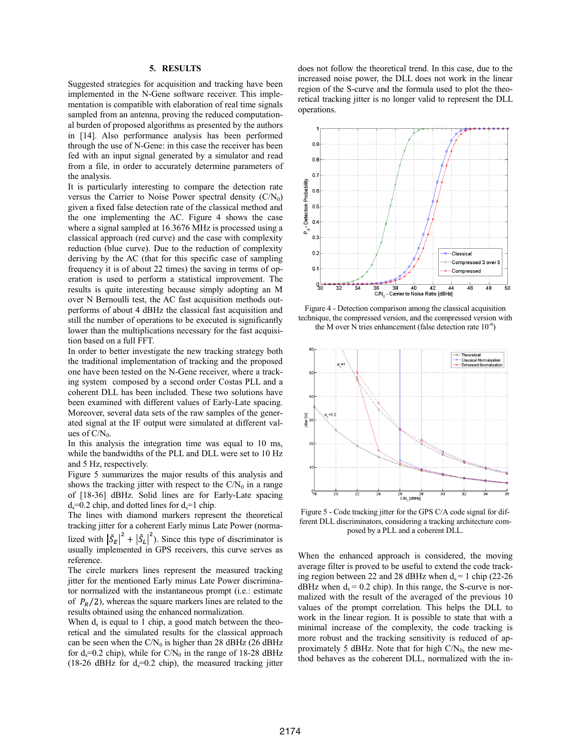# **5. RESULTS**

Suggested strategies for acquisition and tracking have been implemented in the N-Gene software receiver. This implementation is compatible with elaboration of real time signals sampled from an antenna, proving the reduced computational burden of proposed algorithms as presented by the authors in [14]. Also performance analysis has been performed through the use of N-Gene: in this case the receiver has been fed with an input signal generated by a simulator and read from a file, in order to accurately determine parameters of the analysis.

It is particularly interesting to compare the detection rate versus the Carrier to Noise Power spectral density  $(C/N_0)$ given a fixed false detection rate of the classical method and the one implementing the AC. Figure 4 shows the case where a signal sampled at 16.3676 MHz is processed using a classical approach (red curve) and the case with complexity reduction (blue curve). Due to the reduction of complexity deriving by the AC (that for this specific case of sampling frequency it is of about 22 times) the saving in terms of operation is used to perform a statistical improvement. The results is quite interesting because simply adopting an M over N Bernoulli test, the AC fast acquisition methods outperforms of about 4 dBHz the classical fast acquisition and still the number of operations to be executed is significantly lower than the multiplications necessary for the fast acquisition based on a full FFT.

In order to better investigate the new tracking strategy both the traditional implementation of tracking and the proposed one have been tested on the N-Gene receiver, where a tracking system composed by a second order Costas PLL and a coherent DLL has been included. These two solutions have been examined with different values of Early-Late spacing. Moreover, several data sets of the raw samples of the generated signal at the IF output were simulated at different values of  $C/N_0$ .

In this analysis the integration time was equal to 10 ms, while the bandwidths of the PLL and DLL were set to 10 Hz and 5 Hz, respectively.

Figure 5 summarizes the major results of this analysis and shows the tracking jitter with respect to the  $C/N_0$  in a range of [18-36] dBHz. Solid lines are for Early-Late spacing  $d_s = 0.2$  chip, and dotted lines for  $d_s = 1$  chip.

The lines with diamond markers represent the theoretical tracking jitter for a coherent Early minus Late Power (normalized with  $|\tilde{S}_E|^2 + |\tilde{S}_L|^2$ ). Since this type of discriminator is usually implemented in GPS receivers, this curve serves as reference.

The circle markers lines represent the measured tracking jitter for the mentioned Early minus Late Power discriminator normalized with the instantaneous prompt (i.e.: estimate of  $P_R/2$ ), whereas the square markers lines are related to the results obtained using the enhanced normalization.

When  $d_s$  is equal to 1 chip, a good match between the theoretical and the simulated results for the classical approach can be seen when the  $CN_0$  is higher than 28 dBHz (26 dBHz for  $d_s = 0.2$  chip), while for  $C/N_0$  in the range of 18-28 dBHz (18-26 dBHz for  $d_s=0.2$  chip), the measured tracking jitter

does not follow the theoretical trend. In this case, due to the increased noise power, the DLL does not work in the linear region of the S-curve and the formula used to plot the theoretical tracking jitter is no longer valid to represent the DLL operations.



Figure 4 - Detection comparison among the classical acquisition technique, the compressed version, and the compressed version with the M over N tries enhancement (false detection rate  $10^{-6}$ )



Figure 5 - Code tracking jitter for the GPS C/A code signal for different DLL discriminators, considering a tracking architecture composed by a PLL and a coherent DLL.

When the enhanced approach is considered, the moving average filter is proved to be useful to extend the code tracking region between 22 and 28 dBHz when  $d_s = 1$  chip (22-26)  $dBHz$  when  $d_s = 0.2$  chip). In this range, the S-curve is normalized with the result of the averaged of the previous 10 values of the prompt correlation. This helps the DLL to work in the linear region. It is possible to state that with a minimal increase of the complexity, the code tracking is more robust and the tracking sensitivity is reduced of approximately 5 dBHz. Note that for high  $C/N_0$ , the new method behaves as the coherent DLL, normalized with the in